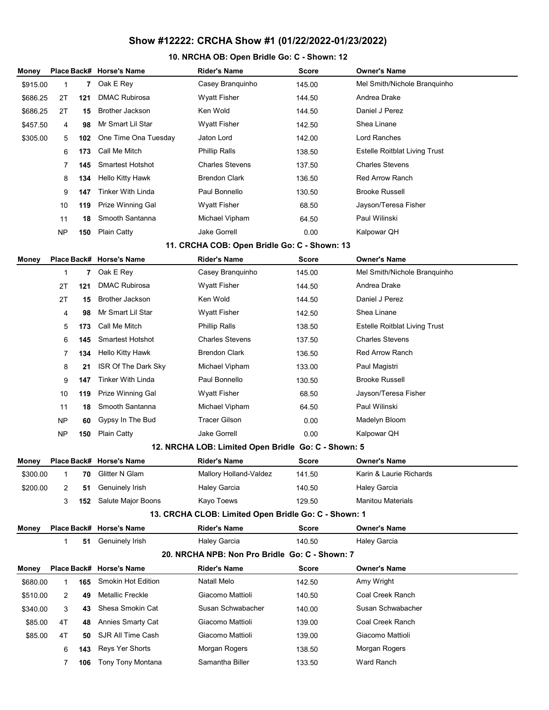### 10. NRCHA OB: Open Bridle Go: C - Shown: 12

| Money    |           |     | Place Back# Horse's Name | Rider's Name                                         | <b>Score</b> | <b>Owner's Name</b>                  |
|----------|-----------|-----|--------------------------|------------------------------------------------------|--------------|--------------------------------------|
| \$915.00 | 1         | 7   | Oak E Rey                | Casey Branquinho                                     | 145.00       | Mel Smith/Nichole Branquinho         |
| \$686.25 | 2T        | 121 | <b>DMAC Rubirosa</b>     | <b>Wyatt Fisher</b>                                  | 144.50       | Andrea Drake                         |
| \$686.25 | 2Τ        | 15  | <b>Brother Jackson</b>   | Ken Wold                                             | 144.50       | Daniel J Perez                       |
| \$457.50 | 4         | 98  | Mr Smart Lil Star        | <b>Wyatt Fisher</b>                                  | 142.50       | Shea Linane                          |
| \$305.00 | 5         | 102 | One Time Ona Tuesday     | Jaton Lord                                           | 142.00       | Lord Ranches                         |
|          | 6         | 173 | Call Me Mitch            | <b>Phillip Ralls</b>                                 | 138.50       | <b>Estelle Roitblat Living Trust</b> |
|          | 7         | 145 | <b>Smartest Hotshot</b>  | <b>Charles Stevens</b>                               | 137.50       | <b>Charles Stevens</b>               |
|          | 8         | 134 | <b>Hello Kitty Hawk</b>  | <b>Brendon Clark</b>                                 | 136.50       | <b>Red Arrow Ranch</b>               |
|          | 9         | 147 | <b>Tinker With Linda</b> | Paul Bonnello                                        | 130.50       | <b>Brooke Russell</b>                |
|          | 10        | 119 | Prize Winning Gal        | <b>Wyatt Fisher</b>                                  | 68.50        | Jayson/Teresa Fisher                 |
|          | 11        | 18  | Smooth Santanna          | Michael Vipham                                       | 64.50        | Paul Wilinski                        |
|          | <b>NP</b> | 150 | <b>Plain Catty</b>       | <b>Jake Gorrell</b>                                  | 0.00         | Kalpowar QH                          |
|          |           |     |                          | 11. CRCHA COB: Open Bridle Go: C - Shown: 13         |              |                                      |
| Money    |           |     | Place Back# Horse's Name | <b>Rider's Name</b>                                  | Score        | <b>Owner's Name</b>                  |
|          | 1         | 7   | Oak E Rey                | Casey Branquinho                                     | 145.00       | Mel Smith/Nichole Branquinho         |
|          | 2T        | 121 | <b>DMAC Rubirosa</b>     | <b>Wyatt Fisher</b>                                  | 144.50       | Andrea Drake                         |
|          | 2Τ        | 15  | <b>Brother Jackson</b>   | Ken Wold                                             | 144.50       | Daniel J Perez                       |
|          | 4         | 98  | Mr Smart Lil Star        | <b>Wyatt Fisher</b>                                  | 142.50       | Shea Linane                          |
|          | 5         | 173 | Call Me Mitch            | <b>Phillip Ralls</b>                                 | 138.50       | <b>Estelle Roitblat Living Trust</b> |
|          | 6         | 145 | <b>Smartest Hotshot</b>  | <b>Charles Stevens</b>                               | 137.50       | <b>Charles Stevens</b>               |
|          | 7         | 134 | <b>Hello Kitty Hawk</b>  | <b>Brendon Clark</b>                                 | 136.50       | <b>Red Arrow Ranch</b>               |
|          | 8         | 21  | ISR Of The Dark Sky      | Michael Vipham                                       | 133.00       | Paul Magistri                        |
|          | 9         | 147 | <b>Tinker With Linda</b> | Paul Bonnello                                        | 130.50       | <b>Brooke Russell</b>                |
|          | 10        | 119 | Prize Winning Gal        | <b>Wyatt Fisher</b>                                  | 68.50        | Jayson/Teresa Fisher                 |
|          | 11        | 18  | Smooth Santanna          | Michael Vipham                                       | 64.50        | Paul Wilinski                        |
|          | <b>NP</b> | 60  | Gypsy In The Bud         | <b>Tracer Gilson</b>                                 | 0.00         | Madelyn Bloom                        |
|          | <b>NP</b> | 150 | <b>Plain Catty</b>       | <b>Jake Gorrell</b>                                  | 0.00         | Kalpowar QH                          |
|          |           |     |                          | 12. NRCHA LOB: Limited Open Bridle Go: C - Shown: 5  |              |                                      |
| Money    |           |     | Place Back# Horse's Name | Rider's Name                                         | <b>Score</b> | <b>Owner's Name</b>                  |
| \$300.00 | 1         | 70  | Glitter N Glam           | Mallory Holland-Valdez                               | 141.50       | Karin & Laurie Richards              |
| \$200.00 | 2         | 51  | Genuinely Irish          | <b>Haley Garcia</b>                                  | 140.50       | <b>Haley Garcia</b>                  |
|          | 3         | 152 | Salute Major Boons       | Kayo Toews                                           | 129.50       | <b>Manitou Materials</b>             |
|          |           |     |                          | 13. CRCHA CLOB: Limited Open Bridle Go: C - Shown: 1 |              |                                      |
| Money    |           |     | Place Back# Horse's Name | <b>Rider's Name</b>                                  | <b>Score</b> | <b>Owner's Name</b>                  |
|          | 1         | 51  | Genuinely Irish          | <b>Haley Garcia</b>                                  | 140.50       | <b>Haley Garcia</b>                  |
|          |           |     |                          | 20. NRCHA NPB: Non Pro Bridle Go: C - Shown: 7       |              |                                      |
| Money    |           |     | Place Back# Horse's Name | <b>Rider's Name</b>                                  | Score        | <b>Owner's Name</b>                  |
| \$680.00 | 1         | 165 | Smokin Hot Edition       | <b>Natall Melo</b>                                   | 142.50       | Amy Wright                           |
| \$510.00 | 2         | 49  | Metallic Freckle         | Giacomo Mattioli                                     | 140.50       | Coal Creek Ranch                     |
| \$340.00 | 3         | 43  | Shesa Smokin Cat         | Susan Schwabacher                                    | 140.00       | Susan Schwabacher                    |
| \$85.00  | 4T        | 48  | <b>Annies Smarty Cat</b> | Giacomo Mattioli                                     | 139.00       | Coal Creek Ranch                     |
| \$85.00  | 4T        | 50  | SJR All Time Cash        | Giacomo Mattioli                                     | 139.00       | Giacomo Mattioli                     |
|          | 6         | 143 | Reys Yer Shorts          | Morgan Rogers                                        | 138.50       | Morgan Rogers                        |
|          | 7         | 106 | Tony Tony Montana        | Samantha Biller                                      | 133.50       | Ward Ranch                           |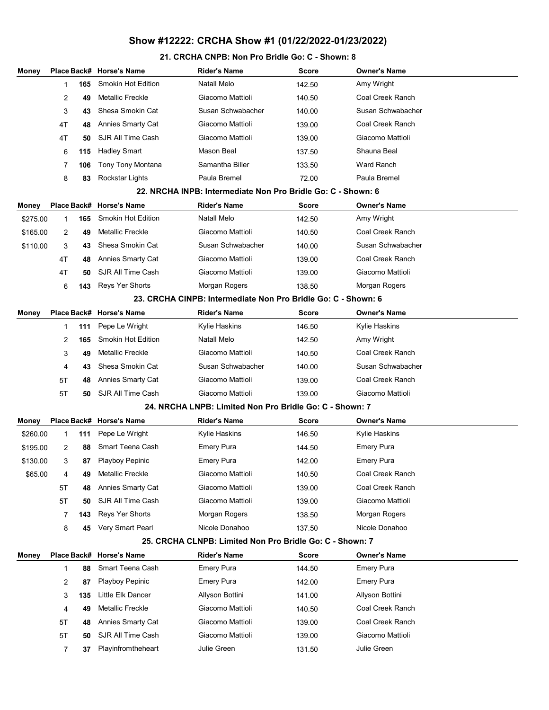#### 21. CRCHA CNPB: Non Pro Bridle Go: C - Shown: 8

| Money    | Place Back#    |     | <b>Horse's Name</b>       | <b>Rider's Name</b>                                           | <b>Score</b> | <b>Owner's Name</b> |
|----------|----------------|-----|---------------------------|---------------------------------------------------------------|--------------|---------------------|
|          |                | 165 | <b>Smokin Hot Edition</b> | Natall Melo                                                   | 142.50       | Amy Wright          |
|          | 2              | 49  | <b>Metallic Freckle</b>   | Giacomo Mattioli                                              | 140.50       | Coal Creek Ranch    |
|          | 3              | 43  | Shesa Smokin Cat          | Susan Schwabacher                                             | 140.00       | Susan Schwabacher   |
|          | 4T             | 48  | Annies Smarty Cat         | Giacomo Mattioli                                              | 139.00       | Coal Creek Ranch    |
|          | 4T             | 50  | SJR All Time Cash         | Giacomo Mattioli                                              | 139.00       | Giacomo Mattioli    |
|          | 6              | 115 | <b>Hadley Smart</b>       | <b>Mason Beal</b>                                             | 137.50       | Shauna Beal         |
|          | 7              | 106 | Tony Tony Montana         | Samantha Biller                                               | 133.50       | Ward Ranch          |
|          | 8              | 83  | Rockstar Lights           | Paula Bremel                                                  | 72.00        | Paula Bremel        |
|          |                |     |                           | 22. NRCHA INPB: Intermediate Non Pro Bridle Go: C - Shown: 6  |              |                     |
| Money    | Place Back#    |     | <b>Horse's Name</b>       | <b>Rider's Name</b>                                           | Score        | <b>Owner's Name</b> |
| \$275.00 | 1              | 165 | <b>Smokin Hot Edition</b> | Natall Melo                                                   | 142.50       | Amy Wright          |
| \$165.00 | 2              | 49  | <b>Metallic Freckle</b>   | Giacomo Mattioli                                              | 140.50       | Coal Creek Ranch    |
| \$110.00 | 3              | 43  | Shesa Smokin Cat          | Susan Schwabacher                                             | 140.00       | Susan Schwabacher   |
|          | 4T             | 48  | Annies Smarty Cat         | Giacomo Mattioli                                              | 139.00       | Coal Creek Ranch    |
|          | 4T             | 50  | SJR All Time Cash         | Giacomo Mattioli                                              | 139.00       | Giacomo Mattioli    |
|          | 6              | 143 | <b>Reys Yer Shorts</b>    | Morgan Rogers                                                 | 138.50       | Morgan Rogers       |
|          |                |     |                           | 23. CRCHA CINPB: Intermediate Non Pro Bridle Go: C - Shown: 6 |              |                     |
| Money    | Place Back#    |     | <b>Horse's Name</b>       | <b>Rider's Name</b>                                           | Score        | <b>Owner's Name</b> |
|          | 1              | 111 | Pepe Le Wright            | Kylie Haskins                                                 | 146.50       | Kylie Haskins       |
|          | 2              | 165 | Smokin Hot Edition        | Natall Melo                                                   | 142.50       | Amy Wright          |
|          | 3              | 49  | <b>Metallic Freckle</b>   | Giacomo Mattioli                                              | 140.50       | Coal Creek Ranch    |
|          | 4              | 43  | Shesa Smokin Cat          | Susan Schwabacher                                             | 140.00       | Susan Schwabacher   |
|          | 5T             | 48  | <b>Annies Smarty Cat</b>  | Giacomo Mattioli                                              | 139.00       | Coal Creek Ranch    |
|          | 5T             | 50  | SJR All Time Cash         | Giacomo Mattioli                                              | 139.00       | Giacomo Mattioli    |
|          |                |     |                           | 24. NRCHA LNPB: Limited Non Pro Bridle Go: C - Shown: 7       |              |                     |
| Money    | Place Back#    |     | <b>Horse's Name</b>       | <b>Rider's Name</b>                                           | Score        | <b>Owner's Name</b> |
| \$260.00 | 1              | 111 | Pepe Le Wright            | Kylie Haskins                                                 | 146.50       | Kylie Haskins       |
| \$195.00 | 2              | 88  | Smart Teena Cash          | <b>Emery Pura</b>                                             | 144.50       | <b>Emery Pura</b>   |
| \$130.00 | 3              | 87  | Playboy Pepinic           | <b>Emery Pura</b>                                             | 142.00       | <b>Emery Pura</b>   |
| \$65.00  | 4              | 49  | Metallic Freckle          | Giacomo Mattioli                                              | 140.50       | Coal Creek Ranch    |
|          | 5T             | 48  | Annies Smarty Cat         | Giacomo Mattioli                                              | 139.00       | Coal Creek Ranch    |
|          | 5T             | 50  | SJR All Time Cash         | Giacomo Mattioli                                              | 139.00       | Giacomo Mattioli    |
|          | $\overline{7}$ | 143 | Reys Yer Shorts           | Morgan Rogers                                                 | 138.50       | Morgan Rogers       |
|          | 8              | 45  | Very Smart Pearl          | Nicole Donahoo                                                | 137.50       | Nicole Donahoo      |
|          |                |     |                           | 25. CRCHA CLNPB: Limited Non Pro Bridle Go: C - Shown: 7      |              |                     |
| Money    | Place Back#    |     | <b>Horse's Name</b>       | <b>Rider's Name</b>                                           | Score        | Owner's Name        |
|          | 1              | 88  | Smart Teena Cash          | <b>Emery Pura</b>                                             | 144.50       | <b>Emery Pura</b>   |
|          | 2              | 87  | Playboy Pepinic           | <b>Emery Pura</b>                                             | 142.00       | <b>Emery Pura</b>   |
|          | 3              | 135 | Little Elk Dancer         | Allyson Bottini                                               | 141.00       | Allyson Bottini     |
|          | 4              | 49  | Metallic Freckle          | Giacomo Mattioli                                              | 140.50       | Coal Creek Ranch    |
|          | 5T             | 48  | Annies Smarty Cat         | Giacomo Mattioli                                              | 139.00       | Coal Creek Ranch    |
|          | 5T             | 50  | SJR All Time Cash         | Giacomo Mattioli                                              | 139.00       | Giacomo Mattioli    |
|          | 7              | 37  | Playinfromtheheart        | Julie Green                                                   | 131.50       | Julie Green         |
|          |                |     |                           |                                                               |              |                     |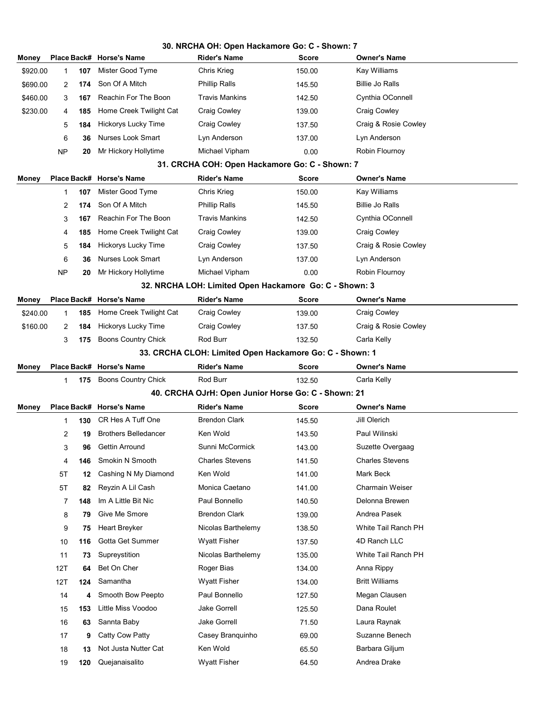|          | 30. NRCHA OH: Open Hackamore Go: C - Shown: 7 |     |                             |                                                         |              |                        |  |
|----------|-----------------------------------------------|-----|-----------------------------|---------------------------------------------------------|--------------|------------------------|--|
| Money    |                                               |     | Place Back# Horse's Name    | Rider's Name                                            | <b>Score</b> | <b>Owner's Name</b>    |  |
| \$920.00 | 1                                             | 107 | Mister Good Tyme            | Chris Krieg                                             | 150.00       | Kay Williams           |  |
| \$690.00 | 2                                             | 174 | Son Of A Mitch              | Phillip Ralls                                           | 145.50       | <b>Billie Jo Ralls</b> |  |
| \$460.00 | 3                                             | 167 | Reachin For The Boon        | <b>Travis Mankins</b>                                   | 142.50       | Cynthia OConnell       |  |
| \$230.00 | 4                                             | 185 | Home Creek Twilight Cat     | Craig Cowley                                            | 139.00       | Craig Cowley           |  |
|          | 5                                             | 184 | Hickorys Lucky Time         | Craig Cowley                                            | 137.50       | Craig & Rosie Cowley   |  |
|          | 6                                             | 36  | <b>Nurses Look Smart</b>    | Lyn Anderson                                            | 137.00       | Lyn Anderson           |  |
|          | NP                                            | 20  | Mr Hickory Hollytime        | Michael Vipham                                          | 0.00         | Robin Flournoy         |  |
|          |                                               |     |                             | 31. CRCHA COH: Open Hackamore Go: C - Shown: 7          |              |                        |  |
| Money    |                                               |     | Place Back# Horse's Name    | <b>Rider's Name</b>                                     | Score        | <b>Owner's Name</b>    |  |
|          | 1                                             | 107 | Mister Good Tyme            | Chris Krieg                                             | 150.00       | Kay Williams           |  |
|          | $\overline{2}$                                | 174 | Son Of A Mitch              | <b>Phillip Ralls</b>                                    | 145.50       | <b>Billie Jo Ralls</b> |  |
|          | 3                                             | 167 | Reachin For The Boon        | <b>Travis Mankins</b>                                   | 142.50       | Cynthia OConnell       |  |
|          | 4                                             | 185 | Home Creek Twilight Cat     | <b>Craig Cowley</b>                                     | 139.00       | <b>Craig Cowley</b>    |  |
|          | 5                                             | 184 | Hickorys Lucky Time         | Craig Cowley                                            | 137.50       | Craig & Rosie Cowley   |  |
|          | 6                                             | 36  | <b>Nurses Look Smart</b>    | Lyn Anderson                                            | 137.00       | Lyn Anderson           |  |
|          | NP                                            | 20  | Mr Hickory Hollytime        | Michael Vipham                                          | 0.00         | Robin Flournoy         |  |
|          |                                               |     |                             | 32. NRCHA LOH: Limited Open Hackamore Go: C - Shown: 3  |              |                        |  |
| Money    | Place Back#                                   |     | <b>Horse's Name</b>         | <b>Rider's Name</b>                                     | <b>Score</b> | <b>Owner's Name</b>    |  |
| \$240.00 | $\mathbf{1}$                                  | 185 | Home Creek Twilight Cat     | <b>Craig Cowley</b>                                     | 139.00       | <b>Craig Cowley</b>    |  |
| \$160.00 | 2                                             | 184 | Hickorys Lucky Time         | <b>Craig Cowley</b>                                     | 137.50       | Craig & Rosie Cowley   |  |
|          | 3                                             | 175 | Boons Country Chick         | Rod Burr                                                | 132.50       | Carla Kelly            |  |
|          |                                               |     |                             | 33. CRCHA CLOH: Limited Open Hackamore Go: C - Shown: 1 |              |                        |  |
| Money    |                                               |     | Place Back# Horse's Name    | <b>Rider's Name</b>                                     | Score        | <b>Owner's Name</b>    |  |
|          | 1                                             | 175 | <b>Boons Country Chick</b>  | Rod Burr                                                | 132.50       | Carla Kelly            |  |
|          |                                               |     |                             | 40. CRCHA OJrH: Open Junior Horse Go: C - Shown: 21     |              |                        |  |
| Money    |                                               |     | Place Back# Horse's Name    | <b>Rider's Name</b>                                     | <b>Score</b> | <b>Owner's Name</b>    |  |
|          | 1                                             | 130 | CR Hes A Tuff One           | <b>Brendon Clark</b>                                    | 145.50       | Jill Olerich           |  |
|          | $\overline{2}$                                | 19  | <b>Brothers Belledancer</b> | Ken Wold                                                | 143.50       | Paul Wilinski          |  |
|          | 3                                             | 96  | Gettin Arround              | Sunni McCormick                                         | 143.00       | Suzette Overgaag       |  |
|          | 4                                             | 146 | Smokin N Smooth             | <b>Charles Stevens</b>                                  | 141.50       | <b>Charles Stevens</b> |  |
|          | 5T                                            | 12  | Cashing N My Diamond        | Ken Wold                                                | 141.00       | Mark Beck              |  |
|          | 5T                                            | 82  | Reyzin A Lil Cash           | Monica Caetano                                          | 141.00       | Charmain Weiser        |  |
|          | 7                                             | 148 | Im A Little Bit Nic         | Paul Bonnello                                           | 140.50       | Delonna Brewen         |  |
|          | 8                                             | 79  | Give Me Smore               | <b>Brendon Clark</b>                                    | 139.00       | Andrea Pasek           |  |
|          | 9                                             | 75  | Heart Breyker               | Nicolas Barthelemy                                      | 138.50       | White Tail Ranch PH    |  |
|          | 10                                            | 116 | Gotta Get Summer            | Wyatt Fisher                                            | 137.50       | 4D Ranch LLC           |  |
|          | 11                                            | 73  | Supreystition               | Nicolas Barthelemy                                      | 135.00       | White Tail Ranch PH    |  |
|          | 12T                                           | 64  | Bet On Cher                 | Roger Bias                                              | 134.00       | Anna Rippy             |  |
|          | 12T                                           | 124 | Samantha                    | <b>Wyatt Fisher</b>                                     | 134.00       | <b>Britt Williams</b>  |  |
|          | 14                                            | 4   | Smooth Bow Peepto           | Paul Bonnello                                           | 127.50       | Megan Clausen          |  |
|          | 15                                            | 153 | Little Miss Voodoo          | <b>Jake Gorrell</b>                                     | 125.50       | Dana Roulet            |  |
|          | 16                                            | 63  | Sannta Baby                 | <b>Jake Gorrell</b>                                     | 71.50        | Laura Raynak           |  |
|          | 17                                            | 9   | Catty Cow Patty             | Casey Branquinho                                        | 69.00        | Suzanne Benech         |  |
|          | 18                                            | 13  | Not Justa Nutter Cat        | Ken Wold                                                | 65.50        | Barbara Giljum         |  |
|          | 19                                            | 120 | Quejanaisalito              | <b>Wyatt Fisher</b>                                     | 64.50        | Andrea Drake           |  |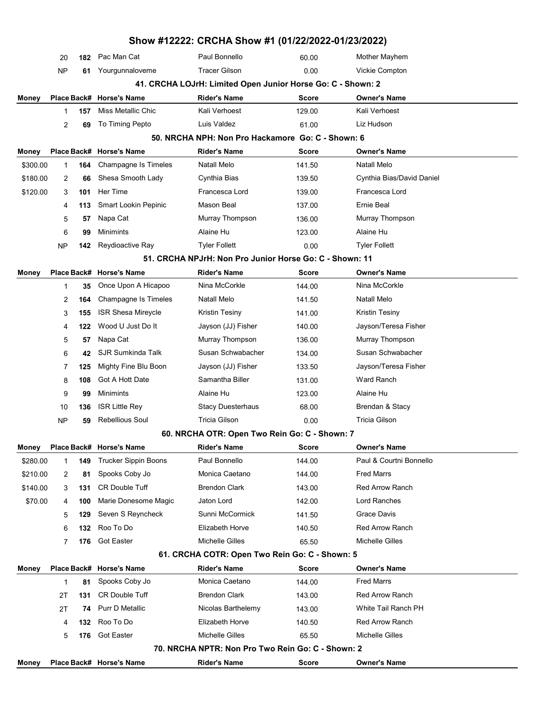|          |    |     |                             | Show #12222: CRCHA Show #1 (01/22/2022-01/23/2022)          |        |                           |  |
|----------|----|-----|-----------------------------|-------------------------------------------------------------|--------|---------------------------|--|
|          | 20 | 182 | Pac Man Cat                 | Paul Bonnello                                               | 60.00  | Mother Mayhem             |  |
|          | NP | 61  | Yourgunnaloveme             | <b>Tracer Gilson</b>                                        | 0.00   | Vickie Compton            |  |
|          |    |     |                             | 41. CRCHA LOJrH: Limited Open Junior Horse Go: C - Shown: 2 |        |                           |  |
| Money    |    |     | Place Back# Horse's Name    | <b>Rider's Name</b>                                         | Score  | <b>Owner's Name</b>       |  |
|          | 1  | 157 | Miss Metallic Chic          | Kali Verhoest                                               | 129.00 | Kali Verhoest             |  |
|          | 2  | 69  | To Timing Pepto             | Luis Valdez                                                 | 61.00  | Liz Hudson                |  |
|          |    |     |                             | 50. NRCHA NPH: Non Pro Hackamore Go: C - Shown: 6           |        |                           |  |
| Money    |    |     | Place Back# Horse's Name    | <b>Rider's Name</b>                                         | Score  | <b>Owner's Name</b>       |  |
| \$300.00 | 1  | 164 | Champagne Is Timeles        | Natall Melo                                                 | 141.50 | Natall Melo               |  |
| \$180.00 | 2  | 66  | Shesa Smooth Lady           | Cynthia Bias                                                | 139.50 | Cynthia Bias/David Daniel |  |
| \$120.00 | 3  | 101 | Her Time                    | Francesca Lord                                              | 139.00 | Francesca Lord            |  |
|          | 4  | 113 | Smart Lookin Pepinic        | Mason Beal                                                  | 137.00 | Ernie Beal                |  |
|          | 5  | 57  | Napa Cat                    | Murray Thompson                                             | 136.00 | Murray Thompson           |  |
|          | 6  | 99  | <b>Minimints</b>            | Alaine Hu                                                   | 123.00 | Alaine Hu                 |  |
|          | NP | 142 | Reydioactive Ray            | <b>Tyler Follett</b>                                        | 0.00   | <b>Tyler Follett</b>      |  |
|          |    |     |                             | 51. CRCHA NPJrH: Non Pro Junior Horse Go: C - Shown: 11     |        |                           |  |
| Money    |    |     | Place Back# Horse's Name    | <b>Rider's Name</b>                                         | Score  | Owner's Name              |  |
|          | 1  | 35  | Once Upon A Hicapoo         | Nina McCorkle                                               | 144.00 | Nina McCorkle             |  |
|          | 2  | 164 | Champagne Is Timeles        | Natall Melo                                                 | 141.50 | Natall Melo               |  |
|          | 3  | 155 | <b>ISR Shesa Mireycle</b>   | Kristin Tesiny                                              | 141.00 | Kristin Tesiny            |  |
|          | 4  | 122 | Wood U Just Do It           | Jayson (JJ) Fisher                                          | 140.00 | Jayson/Teresa Fisher      |  |
|          | 5  | 57  | Napa Cat                    | Murray Thompson                                             | 136.00 | Murray Thompson           |  |
|          | 6  | 42  | SJR Sumkinda Talk           | Susan Schwabacher                                           | 134.00 | Susan Schwabacher         |  |
|          | 7  | 125 | Mighty Fine Blu Boon        | Jayson (JJ) Fisher                                          | 133.50 | Jayson/Teresa Fisher      |  |
|          | 8  | 108 | Got A Hott Date             | Samantha Biller                                             | 131.00 | Ward Ranch                |  |
|          | 9  | 99  | Minimints                   | Alaine Hu                                                   | 123.00 | Alaine Hu                 |  |
|          | 10 | 136 | <b>ISR Little Rey</b>       | <b>Stacy Duesterhaus</b>                                    | 68.00  | Brendan & Stacy           |  |
|          | NP | 59  | <b>Rebellious Soul</b>      | Tricia Gilson                                               | 0.00   | Tricia Gilson             |  |
|          |    |     |                             | 60. NRCHA OTR: Open Two Rein Go: C - Shown: 7               |        |                           |  |
| Money    |    |     | Place Back# Horse's Name    | <b>Rider's Name</b>                                         | Score  | <b>Owner's Name</b>       |  |
| \$280.00 | 1  | 149 | <b>Trucker Sippin Boons</b> | Paul Bonnello                                               | 144.00 | Paul & Courtni Bonnello   |  |
| \$210.00 | 2  | 81  | Spooks Coby Jo              | Monica Caetano                                              | 144.00 | <b>Fred Marrs</b>         |  |
| \$140.00 | 3  | 131 | <b>CR Double Tuff</b>       | <b>Brendon Clark</b>                                        | 143.00 | <b>Red Arrow Ranch</b>    |  |
| \$70.00  | 4  | 100 | Marie Donesome Magic        | Jaton Lord                                                  | 142.00 | Lord Ranches              |  |
|          | 5  | 129 | Seven S Reyncheck           | Sunni McCormick                                             | 141.50 | Grace Davis               |  |
|          | 6  | 132 | Roo To Do                   | Elizabeth Horve                                             | 140.50 | <b>Red Arrow Ranch</b>    |  |
|          | 7  | 176 | <b>Got Easter</b>           | Michelle Gilles                                             | 65.50  | <b>Michelle Gilles</b>    |  |
|          |    |     |                             | 61. CRCHA COTR: Open Two Rein Go: C - Shown: 5              |        |                           |  |
| Money    |    |     | Place Back# Horse's Name    | <b>Rider's Name</b>                                         | Score  | <b>Owner's Name</b>       |  |
|          | 1  | 81  | Spooks Coby Jo              | Monica Caetano                                              | 144.00 | <b>Fred Marrs</b>         |  |
|          | 2Τ | 131 | <b>CR Double Tuff</b>       | <b>Brendon Clark</b>                                        | 143.00 | <b>Red Arrow Ranch</b>    |  |
|          | 2Τ | 74  | <b>Purr D Metallic</b>      | Nicolas Barthelemy                                          | 143.00 | White Tail Ranch PH       |  |
|          | 4  | 132 | Roo To Do                   | Elizabeth Horve                                             | 140.50 | <b>Red Arrow Ranch</b>    |  |
|          | 5  | 176 | <b>Got Easter</b>           | Michelle Gilles                                             | 65.50  | <b>Michelle Gilles</b>    |  |
|          |    |     |                             | 70. NRCHA NPTR: Non Pro Two Rein Go: C - Shown: 2           |        |                           |  |
| Money    |    |     | Place Back# Horse's Name    | <b>Rider's Name</b>                                         | Score  | Owner's Name              |  |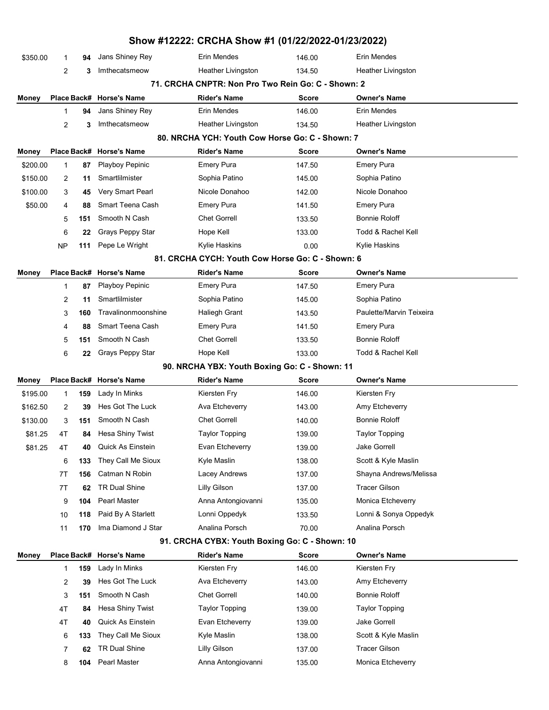|          |                                               |     |                          | Show #12222: CRCHA Show #1 (01/22/2022-01/23/2022) |              |                          |  |  |
|----------|-----------------------------------------------|-----|--------------------------|----------------------------------------------------|--------------|--------------------------|--|--|
| \$350.00 | 1                                             | 94  | Jans Shiney Rey          | Erin Mendes                                        | 146.00       | Erin Mendes              |  |  |
|          | 2                                             | 3   | Imthecatsmeow            | <b>Heather Livingston</b>                          | 134.50       | Heather Livingston       |  |  |
|          |                                               |     |                          | 71. CRCHA CNPTR: Non Pro Two Rein Go: C - Shown: 2 |              |                          |  |  |
| Money    |                                               |     | Place Back# Horse's Name | <b>Rider's Name</b>                                | <b>Score</b> | <b>Owner's Name</b>      |  |  |
|          | $\mathbf{1}$                                  | 94  | Jans Shiney Rey          | Erin Mendes                                        | 146.00       | Erin Mendes              |  |  |
|          | 2                                             | 3   | Imthecatsmeow            | Heather Livingston                                 | 134.50       | Heather Livingston       |  |  |
|          |                                               |     |                          | 80. NRCHA YCH: Youth Cow Horse Go: C - Shown: 7    |              |                          |  |  |
| Money    |                                               |     | Place Back# Horse's Name | <b>Rider's Name</b>                                | <b>Score</b> | <b>Owner's Name</b>      |  |  |
| \$200.00 | 1                                             | 87  | Playboy Pepinic          | <b>Emery Pura</b>                                  | 147.50       | <b>Emery Pura</b>        |  |  |
| \$150.00 | 2                                             | 11  | Smartlilmister           | Sophia Patino                                      | 145.00       | Sophia Patino            |  |  |
| \$100.00 | 3                                             | 45  | Very Smart Pearl         | Nicole Donahoo                                     | 142.00       | Nicole Donahoo           |  |  |
| \$50.00  | 4                                             | 88  | Smart Teena Cash         | <b>Emery Pura</b>                                  | 141.50       | <b>Emery Pura</b>        |  |  |
|          | 5                                             | 151 | Smooth N Cash            | <b>Chet Gorrell</b>                                | 133.50       | Bonnie Roloff            |  |  |
|          | 6                                             | 22  | Grays Peppy Star         | Hope Kell                                          | 133.00       | Todd & Rachel Kell       |  |  |
|          | NP                                            | 111 | Pepe Le Wright           | Kylie Haskins                                      | 0.00         | Kylie Haskins            |  |  |
|          |                                               |     |                          | 81. CRCHA CYCH: Youth Cow Horse Go: C - Shown: 6   |              |                          |  |  |
| Money    |                                               |     | Place Back# Horse's Name | <b>Rider's Name</b>                                | Score        | <b>Owner's Name</b>      |  |  |
|          | 1                                             | 87  | Playboy Pepinic          | <b>Emery Pura</b>                                  | 147.50       | <b>Emery Pura</b>        |  |  |
|          | 2                                             | 11  | Smartlilmister           | Sophia Patino                                      | 145.00       | Sophia Patino            |  |  |
|          | 3                                             | 160 | Travalinonmoonshine      | <b>Haliegh Grant</b>                               | 143.50       | Paulette/Marvin Teixeira |  |  |
|          | 4                                             | 88  | Smart Teena Cash         | <b>Emery Pura</b>                                  | 141.50       | <b>Emery Pura</b>        |  |  |
|          | 5                                             | 151 | Smooth N Cash            | <b>Chet Gorrell</b>                                | 133.50       | <b>Bonnie Roloff</b>     |  |  |
|          | 6                                             | 22  | Grays Peppy Star         | Hope Kell                                          | 133.00       | Todd & Rachel Kell       |  |  |
|          | 90. NRCHA YBX: Youth Boxing Go: C - Shown: 11 |     |                          |                                                    |              |                          |  |  |
| Money    |                                               |     | Place Back# Horse's Name | <b>Rider's Name</b>                                | Score        | <b>Owner's Name</b>      |  |  |
| \$195.00 | 1                                             | 159 | Lady In Minks            | Kiersten Fry                                       | 146.00       | Kiersten Fry             |  |  |
| \$162.50 | 2                                             | 39  | Hes Got The Luck         | Ava Etcheverry                                     | 143.00       | Amy Etcheverry           |  |  |
| \$130.00 | 3                                             | 151 | Smooth N Cash            | <b>Chet Gorrell</b>                                | 140.00       | <b>Bonnie Roloff</b>     |  |  |
| \$81.25  | 4T                                            | 84  | Hesa Shiny Twist         | <b>Taylor Topping</b>                              | 139.00       | <b>Taylor Topping</b>    |  |  |
| \$81.25  | 4T                                            | 40  | Quick As Einstein        | Evan Etcheverry                                    | 139.00       | <b>Jake Gorrell</b>      |  |  |
|          | 6                                             | 133 | They Call Me Sioux       | Kyle Maslin                                        | 138.00       | Scott & Kyle Maslin      |  |  |
|          | 7T                                            | 156 | Catman N Robin           | Lacey Andrews                                      | 137.00       | Shayna Andrews/Melissa   |  |  |
|          | 7T                                            | 62  | <b>TR Dual Shine</b>     | Lilly Gilson                                       | 137.00       | <b>Tracer Gilson</b>     |  |  |
|          | 9                                             | 104 | Pearl Master             | Anna Antongiovanni                                 | 135.00       | Monica Etcheverry        |  |  |
|          | 10                                            | 118 | Paid By A Starlett       | Lonni Oppedyk                                      | 133.50       | Lonni & Sonya Oppedyk    |  |  |
|          | 11                                            | 170 | Ima Diamond J Star       | Analina Porsch                                     | 70.00        | Analina Porsch           |  |  |
|          |                                               |     |                          | 91. CRCHA CYBX: Youth Boxing Go: C - Shown: 10     |              |                          |  |  |
| Money    |                                               |     | Place Back# Horse's Name | <b>Rider's Name</b>                                | Score        | <b>Owner's Name</b>      |  |  |
|          | 1                                             | 159 | Lady In Minks            | Kiersten Fry                                       | 146.00       | Kiersten Fry             |  |  |
|          | 2                                             | 39  | Hes Got The Luck         | Ava Etcheverry                                     | 143.00       | Amy Etcheverry           |  |  |
|          | 3                                             | 151 | Smooth N Cash            | <b>Chet Gorrell</b>                                | 140.00       | <b>Bonnie Roloff</b>     |  |  |
|          | 4T                                            | 84  | Hesa Shiny Twist         | <b>Taylor Topping</b>                              | 139.00       | <b>Taylor Topping</b>    |  |  |
|          | 4T                                            | 40  | <b>Quick As Einstein</b> | Evan Etcheverry                                    | 139.00       | Jake Gorrell             |  |  |
|          | 6                                             | 133 | They Call Me Sioux       | Kyle Maslin                                        | 138.00       | Scott & Kyle Maslin      |  |  |
|          | 7                                             | 62  | <b>TR Dual Shine</b>     | Lilly Gilson                                       | 137.00       | <b>Tracer Gilson</b>     |  |  |
|          | 8                                             | 104 | Pearl Master             | Anna Antongiovanni                                 | 135.00       | Monica Etcheverry        |  |  |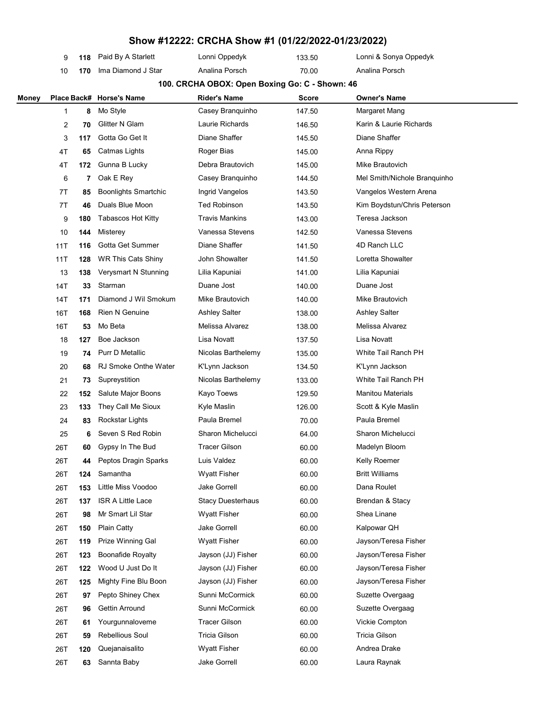|       | 9           | 118 | Paid By A Starlett          | Lonni Oppedyk                                  | 133.50 | Lonni & Sonya Oppedyk        |  |
|-------|-------------|-----|-----------------------------|------------------------------------------------|--------|------------------------------|--|
|       | 10          | 170 | Ima Diamond J Star          | Analina Porsch                                 | 70.00  | Analina Porsch               |  |
|       |             |     |                             | 100. CRCHA OBOX: Open Boxing Go: C - Shown: 46 |        |                              |  |
| Money | Place Back# |     | <b>Horse's Name</b>         | <b>Rider's Name</b>                            | Score  | <b>Owner's Name</b>          |  |
|       | 1           | 8   | Mo Style                    | Casey Branquinho                               | 147.50 | Margaret Mang                |  |
|       | 2           | 70  | Glitter N Glam              | Laurie Richards                                | 146.50 | Karin & Laurie Richards      |  |
|       | 3           | 117 | Gotta Go Get It             | Diane Shaffer                                  | 145.50 | Diane Shaffer                |  |
|       | 4T          | 65  | Catmas Lights               | Roger Bias                                     | 145.00 | Anna Rippy                   |  |
|       | 4T          | 172 | Gunna B Lucky               | Debra Brautovich                               | 145.00 | Mike Brautovich              |  |
|       | 6           | 7   | Oak E Rey                   | Casey Branquinho                               | 144.50 | Mel Smith/Nichole Branquinho |  |
|       | 7T          | 85  | <b>Boonlights Smartchic</b> | Ingrid Vangelos                                | 143.50 | Vangelos Western Arena       |  |
|       | 7T          | 46  | Duals Blue Moon             | <b>Ted Robinson</b>                            | 143.50 | Kim Boydstun/Chris Peterson  |  |
|       | 9           | 180 | <b>Tabascos Hot Kitty</b>   | <b>Travis Mankins</b>                          | 143.00 | Teresa Jackson               |  |
|       | 10          | 144 | Misterey                    | Vanessa Stevens                                | 142.50 | Vanessa Stevens              |  |
|       | 11T         | 116 | Gotta Get Summer            | Diane Shaffer                                  | 141.50 | 4D Ranch LLC                 |  |
|       | 11T         | 128 | <b>WR This Cats Shiny</b>   | John Showalter                                 | 141.50 | Loretta Showalter            |  |
|       | 13          | 138 | Verysmart N Stunning        | Lilia Kapuniai                                 | 141.00 | Lilia Kapuniai               |  |
|       | 14T         | 33  | Starman                     | Duane Jost                                     | 140.00 | Duane Jost                   |  |
|       | 14T         | 171 | Diamond J Wil Smokum        | Mike Brautovich                                | 140.00 | Mike Brautovich              |  |
|       | 16T         | 168 | <b>Rien N Genuine</b>       | <b>Ashley Salter</b>                           | 138.00 | <b>Ashley Salter</b>         |  |
|       | 16T         | 53  | Mo Beta                     | Melissa Alvarez                                | 138.00 | Melissa Alvarez              |  |
|       | 18          | 127 | Boe Jackson                 | Lisa Novatt                                    | 137.50 | Lisa Novatt                  |  |
|       | 19          | 74  | <b>Purr D Metallic</b>      | Nicolas Barthelemy                             | 135.00 | White Tail Ranch PH          |  |
|       | 20          | 68  | <b>RJ Smoke Onthe Water</b> | K'Lynn Jackson                                 | 134.50 | K'Lynn Jackson               |  |
|       | 21          | 73  | Supreystition               | Nicolas Barthelemy                             | 133.00 | White Tail Ranch PH          |  |
|       | 22          | 152 | Salute Major Boons          | Kayo Toews                                     | 129.50 | <b>Manitou Materials</b>     |  |
|       | 23          | 133 | They Call Me Sioux          | Kyle Maslin                                    | 126.00 | Scott & Kyle Maslin          |  |
|       | 24          | 83  | <b>Rockstar Lights</b>      | Paula Bremel                                   | 70.00  | Paula Bremel                 |  |
|       | 25          | 6   | Seven S Red Robin           | Sharon Michelucci                              | 64.00  | Sharon Michelucci            |  |
|       | 26T         | 60  | Gypsy In The Bud            | <b>Tracer Gilson</b>                           | 60.00  | Madelyn Bloom                |  |
|       | 26T         | 44  | Peptos Dragin Sparks        | Luis Valdez                                    | 60.00  | Kelly Roemer                 |  |
|       | 26T         | 124 | Samantha                    | <b>Wyatt Fisher</b>                            | 60.00  | <b>Britt Williams</b>        |  |
|       | 26T         | 153 | Little Miss Voodoo          | <b>Jake Gorrell</b>                            | 60.00  | Dana Roulet                  |  |
|       | 26T         | 137 | <b>ISR A Little Lace</b>    | <b>Stacy Duesterhaus</b>                       | 60.00  | Brendan & Stacy              |  |
|       | 26T         | 98  | Mr Smart Lil Star           | <b>Wyatt Fisher</b>                            | 60.00  | Shea Linane                  |  |
|       | 26T         | 150 | <b>Plain Catty</b>          | <b>Jake Gorrell</b>                            | 60.00  | Kalpowar QH                  |  |
|       | 26T         | 119 | Prize Winning Gal           | <b>Wyatt Fisher</b>                            | 60.00  | Jayson/Teresa Fisher         |  |
|       | 26T         | 123 | <b>Boonafide Royalty</b>    | Jayson (JJ) Fisher                             | 60.00  | Jayson/Teresa Fisher         |  |
|       | 26T         | 122 | Wood U Just Do It           | Jayson (JJ) Fisher                             | 60.00  | Jayson/Teresa Fisher         |  |
|       | 26T         | 125 | Mighty Fine Blu Boon        | Jayson (JJ) Fisher                             | 60.00  | Jayson/Teresa Fisher         |  |
|       | 26T         | 97  | Pepto Shiney Chex           | Sunni McCormick                                | 60.00  | Suzette Overgaag             |  |
|       | 26T         | 96  | Gettin Arround              | Sunni McCormick                                | 60.00  | Suzette Overgaag             |  |
|       | 26T         | 61  | Yourgunnaloveme             | <b>Tracer Gilson</b>                           | 60.00  | Vickie Compton               |  |
|       | 26T         | 59  | Rebellious Soul             | <b>Tricia Gilson</b>                           | 60.00  | Tricia Gilson                |  |
|       | 26T         | 120 | Quejanaisalito              | <b>Wyatt Fisher</b>                            | 60.00  | Andrea Drake                 |  |
|       | 26T         | 63  | Sannta Baby                 | Jake Gorrell                                   | 60.00  | Laura Raynak                 |  |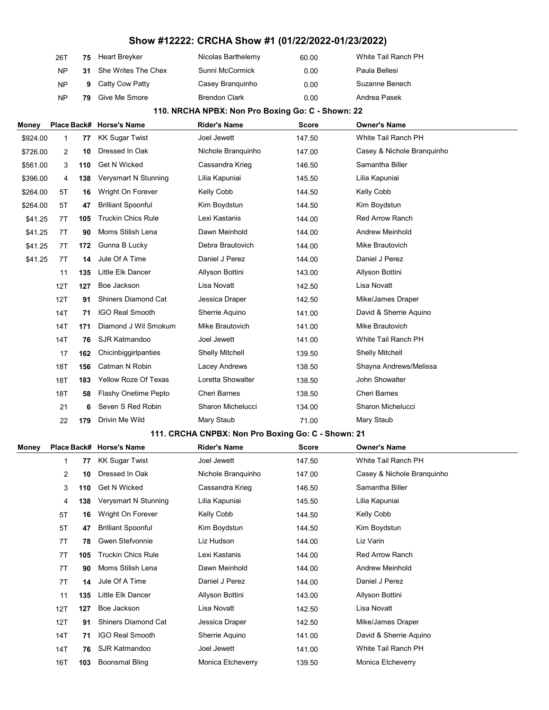| 26T       |    | 75 Heart Breyker       | Nicolas Barthelemy   | 60.00 | White Tail Ranch PH |
|-----------|----|------------------------|----------------------|-------|---------------------|
| <b>NP</b> |    | 31 She Writes The Chex | Sunni McCormick      | 0.00  | Paula Bellesi       |
| <b>NP</b> | 9  | Catty Cow Patty        | Casey Branguinho     | 0.00  | Suzanne Benech      |
| <b>NP</b> | 79 | Give Me Smore          | <b>Brendon Clark</b> | 0.00  | Andrea Pasek        |

#### 110. NRCHA NPBX: Non Pro Boxing Go: C - Shown: 22

| Money        |     |     | Place Back# Horse's Name    | Rider's Name                                       | <b>Score</b> | <b>Owner's Name</b>        |  |
|--------------|-----|-----|-----------------------------|----------------------------------------------------|--------------|----------------------------|--|
| \$924.00     | 1   | 77  | <b>KK Sugar Twist</b>       | Joel Jewett                                        | 147.50       | White Tail Ranch PH        |  |
| \$726.00     | 2   | 10  | Dressed In Oak              | Nichole Branquinho                                 | 147.00       | Casey & Nichole Branquinho |  |
| \$561.00     | 3   | 110 | <b>Get N Wicked</b>         | Cassandra Krieg                                    | 146.50       | Samantha Biller            |  |
| \$396.00     | 4   | 138 | Verysmart N Stunning        | Lilia Kapuniai                                     | 145.50       | Lilia Kapuniai             |  |
| \$264.00     | 5Τ  | 16  | Wright On Forever           | Kelly Cobb                                         | 144.50       | Kelly Cobb                 |  |
| \$264.00     | 5T  | 47  | <b>Brilliant Spoonful</b>   | Kim Boydstun                                       | 144.50       | Kim Boydstun               |  |
| \$41.25      | 7T  | 105 | <b>Truckin Chics Rule</b>   | Lexi Kastanis                                      | 144.00       | <b>Red Arrow Ranch</b>     |  |
| \$41.25      | 7T  | 90  | Moms Stilish Lena           | Dawn Meinhold                                      | 144.00       | Andrew Meinhold            |  |
| \$41.25      | 7T  | 172 | Gunna B Lucky               | Debra Brautovich                                   | 144.00       | Mike Brautovich            |  |
| \$41.25      | 7T  | 14  | Jule Of A Time              | Daniel J Perez                                     | 144.00       | Daniel J Perez             |  |
|              | 11  | 135 | Little Elk Dancer           | Allyson Bottini                                    | 143.00       | Allyson Bottini            |  |
|              | 12T | 127 | Boe Jackson                 | Lisa Novatt                                        | 142.50       | Lisa Novatt                |  |
|              | 12T | 91  | <b>Shiners Diamond Cat</b>  | Jessica Draper                                     | 142.50       | Mike/James Draper          |  |
|              | 14T | 71  | <b>IGO Real Smooth</b>      | Sherrie Aquino                                     | 141.00       | David & Sherrie Aquino     |  |
|              | 14T | 171 | Diamond J Wil Smokum        | Mike Brautovich                                    | 141.00       | Mike Brautovich            |  |
|              | 14T | 76  | <b>SJR Katmandoo</b>        | Joel Jewett                                        | 141.00       | White Tail Ranch PH        |  |
|              | 17  | 162 | Chicinbiggirlpanties        | <b>Shelly Mitchell</b>                             | 139.50       | <b>Shelly Mitchell</b>     |  |
|              | 18T | 156 | Catman N Robin              | Lacey Andrews                                      | 138.50       | Shayna Andrews/Melissa     |  |
|              | 18T | 183 | <b>Yellow Roze Of Texas</b> | Loretta Showalter                                  | 138.50       | John Showalter             |  |
|              | 18T | 58  | <b>Flashy Onetime Pepto</b> | <b>Cheri Barnes</b>                                | 138.50       | <b>Cheri Barnes</b>        |  |
|              | 21  | 6   | Seven S Red Robin           | Sharon Michelucci                                  | 134.00       | Sharon Michelucci          |  |
|              | 22  | 179 | Drivin Me Wild              | Mary Staub                                         | 71.00        | Mary Staub                 |  |
|              |     |     |                             | 111. CRCHA CNPBX: Non Pro Boxing Go: C - Shown: 21 |              |                            |  |
| <b>Money</b> |     |     | Place Back# Horse's Name    | <b>Rider's Name</b>                                | <b>Score</b> | <b>Owner's Name</b>        |  |
|              | 1   | 77  | <b>KK Sugar Twist</b>       | Joel Jewett                                        | 147.50       | White Tail Ranch PH        |  |
|              | 2   | 10  | Dressed In Oak              | Nichole Branquinho                                 | 147.00       | Casey & Nichole Branquinho |  |
|              | 3   | 110 | <b>Get N Wicked</b>         | Cassandra Krieg                                    | 146.50       | Samantha Biller            |  |
|              | 4   | 138 | Verysmart N Stunning        | Lilia Kapuniai                                     | 145.50       | Lilia Kapuniai             |  |
|              | 5Τ  | 16  | Wright On Forever           | <b>Kelly Cobb</b>                                  | 144.50       | <b>Kelly Cobb</b>          |  |
|              | 5T  | 47  | <b>Brilliant Spoonful</b>   |                                                    |              |                            |  |
|              |     |     |                             | Kim Boydstun                                       | 144.50       | Kim Boydstun               |  |
|              | 7T  | 78  | Gwen Stefvonnie             | Liz Hudson                                         | 144.00       | Liz Varin                  |  |
|              | 7T  | 105 | <b>Truckin Chics Rule</b>   | Lexi Kastanis                                      | 144.00       | <b>Red Arrow Ranch</b>     |  |
|              | 7T  | 90  | Moms Stilish Lena           | Dawn Meinhold                                      | 144.00       | Andrew Meinhold            |  |
|              | 7T  | 14  | Jule Of A Time              | Daniel J Perez                                     | 144.00       | Daniel J Perez             |  |
|              | 11  | 135 | Little Elk Dancer           | Allyson Bottini                                    | 143.00       | Allyson Bottini            |  |
|              | 12T | 127 | Boe Jackson                 | Lisa Novatt                                        | 142.50       | Lisa Novatt                |  |
|              | 12T | 91  | <b>Shiners Diamond Cat</b>  | Jessica Draper                                     | 142.50       | Mike/James Draper          |  |
|              | 14T | 71  | <b>IGO Real Smooth</b>      | Sherrie Aquino                                     | 141.00       | David & Sherrie Aquino     |  |
|              | 14T | 76  | SJR Katmandoo               | Joel Jewett                                        | 141.00       | White Tail Ranch PH        |  |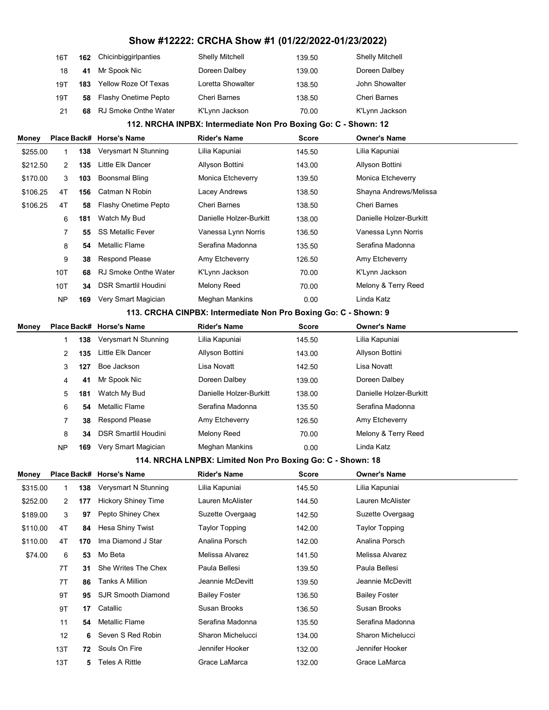# 16T 162 Chicinbiggirlpanties Shelly Mitchell 139.50 Shelly Mitchell 18 41 Mr Spook Nic Doreen Dalbey 139.00 Doreen Dalbey 19T **183** Yellow Roze Of Texas Loretta Showalter 138.50 John Showalter 19T 58 Flashy Onetime Pepto Cheri Barnes 138.50 Cheri Barnes 21 68 RJ Smoke Onthe Water K'Lynn Jackson 70.00 K'Lynn Jackson 112. NRCHA INPBX: Intermediate Non Pro Boxing Go: C - Shown: 12 Money Place Back# Horse's Name **Rider's Name** Score Owner's Name \$255.00 1 138 Verysmart N Stunning Lilia Kapuniai 145.50 Lilia Kapuniai \$212.50 2 135 Little Elk Dancer Allyson Bottini 143.00 Allyson Bottini \$170.00 3 103 Boonsmal Bling Monica Etcheverry 139.50 Monica Etcheverry \$106.25 4T **156** Catman N Robin Lacey Andrews 138.50 Shayna Andrews/Melissa \$106.25 4T 58 Flashy Onetime Pepto Cheri Barnes 138.50 Cheri Barnes 6 181 Watch My Bud Danielle Holzer-Burkitt 138.00 Danielle Holzer-Burkitt 7 55 SS Metallic Fever Vanessa Lynn Norris 136.50 Vanessa Lynn Norris 8 54 Metallic Flame Serafina Madonna 135.50 Serafina Madonna 9 38 Respond Please **Amy Etcheverry 126.50** Amy Etcheverry 10T 68 RJ Smoke Onthe Water K'Lynn Jackson 70.00 K'Lynn Jackson 10T 34 DSR Smartlil Houdini Melony Reed 70.00 Melony & Terry Reed NP 169 Very Smart Magician Meghan Mankins 0.00 Linda Katz 113. CRCHA CINPBX: Intermediate Non Pro Boxing Go: C - Shown: 9 Money Place Back# Horse's Name Rider's Name Score Owner's Name 1 138 Verysmart N Stunning Lilia Kapuniai 145.50 Lilia Kapuniai 2 135 Little Elk Dancer Allyson Bottini 143.00 Allyson Bottini 3 127 Boe Jackson Lisa Novatt 142.50 Lisa Novatt 4 41 Mr Spook Nic Doreen Dalbey 139.00 Doreen Dalbey 5 181 Watch My Bud Danielle Holzer-Burkitt 138.00 Danielle Holzer-Burkitt 6 54 Metallic Flame Serafina Madonna 135.50 Serafina Madonna 7 38 Respond Please **Amy Etcheverry 126.50** Amy Etcheverry 8 34 DSR Smartlil Houdini Melony Reed 70.00 Melony & Terry Reed NP 169 Very Smart Magician Meghan Mankins 0.00 Linda Katz 114. NRCHA LNPBX: Limited Non Pro Boxing Go: C - Shown: 18 Money Place Back# Horse's Name **Rider's Name** Score Owner's Name \$315.00 1 138 Verysmart N Stunning Lilia Kapuniai 145.50 Lilia Kapuniai \$252.00 2 177 Hickory Shiney Time Lauren McAlister 144.50 Lauren McAlister \$189.00 3 97 Pepto Shiney Chex Suzette Overgaag 142.50 Suzette Overgaag \$110.00 4T 84 Hesa Shiny Twist Taylor Topping 142.00 Taylor Topping \$110.00 4T 170 Ima Diamond J Star Analina Porsch 142.00 Analina Porsch \$74.00 6 53 Mo Beta **Melissa Alvarez** 141.50 Melissa Alvarez 7T 31 She Writes The Chex Paula Bellesi 139.50 Paula Bellesi 7T 86 Tanks A Million Jeannie McDevitt 139.50 Jeannie McDevitt 9T 95 SJR Smooth Diamond Bailey Foster 136.50 Bailey Foster 9T 17 Catallic Susan Brooks 136.50 Susan Brooks 11 **54** Metallic Flame **Serafina Madonna** 135.50 Serafina Madonna 12 6 Seven S Red Robin Sharon Michelucci 134.00 Sharon Michelucci 13T **72** Souls On Fire **137** Jennifer Hooker 132.00 Jennifer Hooker

13T **5** Teles A Rittle **133.00** Grace LaMarca 132.00 Grace LaMarca

#### Show #12222: CRCHA Show #1 (01/22/2022-01/23/2022)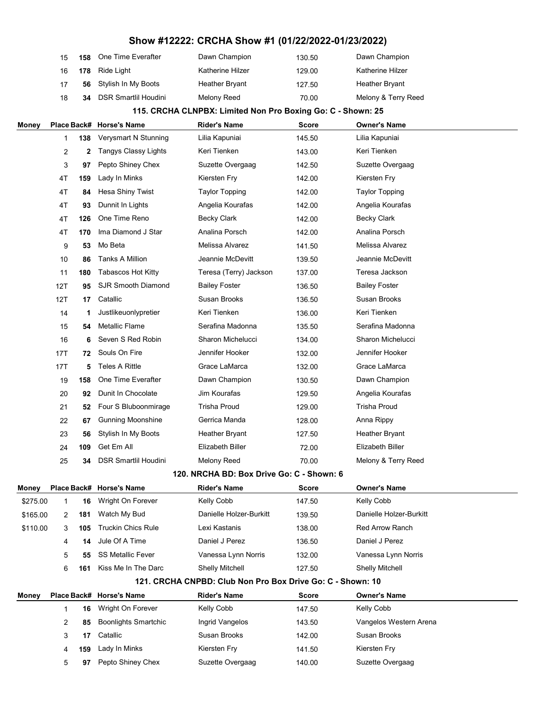| 15 |     | <b>158</b> One Time Everafter | Dawn Champion         | 130.50 | Dawn Champion       |
|----|-----|-------------------------------|-----------------------|--------|---------------------|
| 16 | 178 | Ride Light                    | Katherine Hilzer      | 129.00 | Katherine Hilzer    |
| 17 |     | 56 Stylish In My Boots        | <b>Heather Bryant</b> | 127.50 | Heather Bryant      |
| 18 | 34  | DSR Smartlil Houdini          | Melony Reed           | 70.00  | Melony & Terry Reed |
|    |     |                               |                       |        |                     |

#### 115. CRCHA CLNPBX: Limited Non Pro Boxing Go: C - Shown: 25

| Money    |     |     | Place Back# Horse's Name    | <b>Rider's Name</b>                                        | Score        | <b>Owner's Name</b>     |
|----------|-----|-----|-----------------------------|------------------------------------------------------------|--------------|-------------------------|
|          | 1   | 138 | Verysmart N Stunning        | Lilia Kapuniai                                             | 145.50       | Lilia Kapuniai          |
|          | 2   | 2   | <b>Tangys Classy Lights</b> | Keri Tienken                                               | 143.00       | Keri Tienken            |
|          | 3   | 97  | Pepto Shiney Chex           | Suzette Overgaag                                           | 142.50       | Suzette Overgaag        |
|          | 4T  | 159 | Lady In Minks               | Kiersten Fry                                               | 142.00       | Kiersten Fry            |
|          | 4T  | 84  | Hesa Shiny Twist            | <b>Taylor Topping</b>                                      | 142.00       | <b>Taylor Topping</b>   |
|          | 4T  | 93  | Dunnit In Lights            | Angelia Kourafas                                           | 142.00       | Angelia Kourafas        |
|          | 4T  | 126 | One Time Reno               | Becky Clark                                                | 142.00       | Becky Clark             |
|          | 4T  | 170 | Ima Diamond J Star          | Analina Porsch                                             | 142.00       | Analina Porsch          |
|          | 9   | 53  | Mo Beta                     | Melissa Alvarez                                            | 141.50       | Melissa Alvarez         |
|          | 10  | 86  | <b>Tanks A Million</b>      | Jeannie McDevitt                                           | 139.50       | Jeannie McDevitt        |
|          | 11  | 180 | <b>Tabascos Hot Kitty</b>   | Teresa (Terry) Jackson                                     | 137.00       | Teresa Jackson          |
|          | 12T | 95  | <b>SJR Smooth Diamond</b>   | Bailey Foster                                              | 136.50       | <b>Bailey Foster</b>    |
|          | 12T | 17  | Catallic                    | Susan Brooks                                               | 136.50       | Susan Brooks            |
|          | 14  | 1   | Justlikeuonlypretier        | Keri Tienken                                               | 136.00       | Keri Tienken            |
|          | 15  | 54  | <b>Metallic Flame</b>       | Serafina Madonna                                           | 135.50       | Serafina Madonna        |
|          | 16  | 6   | Seven S Red Robin           | Sharon Michelucci                                          | 134.00       | Sharon Michelucci       |
|          | 17T | 72  | Souls On Fire               | Jennifer Hooker                                            | 132.00       | Jennifer Hooker         |
|          | 17T | 5   | <b>Teles A Rittle</b>       | Grace LaMarca                                              | 132.00       | Grace LaMarca           |
|          | 19  | 158 | One Time Everafter          | Dawn Champion                                              | 130.50       | Dawn Champion           |
|          | 20  | 92  | Dunit In Chocolate          | Jim Kourafas                                               | 129.50       | Angelia Kourafas        |
|          | 21  | 52  | Four S Bluboonmirage        | <b>Trisha Proud</b>                                        | 129.00       | Trisha Proud            |
|          | 22  | 67  | <b>Gunning Moonshine</b>    | Gerrica Manda                                              | 128.00       | Anna Rippy              |
|          | 23  | 56  | Stylish In My Boots         | <b>Heather Bryant</b>                                      | 127.50       | <b>Heather Bryant</b>   |
|          | 24  | 109 | Get Em All                  | Elizabeth Biller                                           | 72.00        | Elizabeth Biller        |
|          | 25  | 34  | <b>DSR Smartlil Houdini</b> | Melony Reed                                                | 70.00        | Melony & Terry Reed     |
|          |     |     |                             | 120. NRCHA BD: Box Drive Go: C - Shown: 6                  |              |                         |
| Money    |     |     | Place Back# Horse's Name    | <b>Rider's Name</b>                                        | Score        | <b>Owner's Name</b>     |
| \$275.00 | 1   | 16  | Wright On Forever           | Kelly Cobb                                                 | 147.50       | Kelly Cobb              |
| \$165.00 | 2   | 181 | Watch My Bud                | Danielle Holzer-Burkitt                                    | 139.50       | Danielle Holzer-Burkitt |
| \$110.00 | 3   | 105 | <b>Truckin Chics Rule</b>   | Lexi Kastanis                                              | 138.00       | <b>Red Arrow Ranch</b>  |
|          | 4   | 14  | Jule Of A Time              | Daniel J Perez                                             | 136.50       | Daniel J Perez          |
|          | 5   | 55  | <b>SS Metallic Fever</b>    | Vanessa Lynn Norris                                        | 132.00       | Vanessa Lynn Norris     |
|          | 6   | 161 | Kiss Me In The Darc         | <b>Shelly Mitchell</b>                                     | 127.50       | <b>Shelly Mitchell</b>  |
|          |     |     |                             | 121. CRCHA CNPBD: Club Non Pro Box Drive Go: C - Shown: 10 |              |                         |
| Money    |     |     | Place Back# Horse's Name    | <b>Rider's Name</b>                                        | <b>Score</b> | <b>Owner's Name</b>     |
|          | 1   | 16  | Wright On Forever           | Kelly Cobb                                                 | 147.50       | Kelly Cobb              |
|          | 2   | 85  | <b>Boonlights Smartchic</b> | Ingrid Vangelos                                            | 143.50       | Vangelos Western Arena  |
|          | 3   | 17  | Catallic                    | Susan Brooks                                               | 142.00       | Susan Brooks            |
|          | 4   | 159 | Lady In Minks               | Kiersten Fry                                               | 141.50       | Kiersten Fry            |
|          | 5   | 97  | Pepto Shiney Chex           | Suzette Overgaag                                           | 140.00       | Suzette Overgaag        |